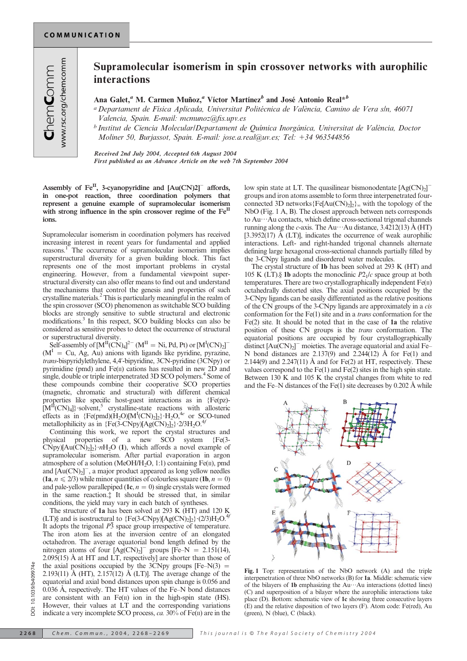## Supramolecular isomerism in spin crossover networks with aurophilic interactions

Ana Galet,<sup>a</sup> M. Carmen Muñoz,<sup>a</sup> Víctor Martínez<sup>b</sup> and José Antonio Real<sup>\*b</sup>

<sup>a</sup> Departament de Física Aplicada, Universitat Politécnica de València, Camino de Vera s/n, 46071 Valencia, Spain. E-mail: mcmunoz@fis.upv.es

 $<sup>b</sup>$  Institut de Ciencia Molecular/Departament de Química Inorgánica, Universitat de València, Doctor</sup> Moliner 50, Burjassot, Spain. E-mail: jose.a.real@uv.es; Tel: +34 963544856

Received 2nd July 2004, Accepted 6th August 2004

First published as an Advance Article on the web 7th September 2004

Assembly of  $Fe^{II}$ , 3-cyanopyridine and  $[Au(CN)2]$ <sup>-</sup> affords, in one-pot reaction, three coordination polymers that represent a genuine example of supramolecular isomerism with strong influence in the spin crossover regime of the Fe<sup>II</sup> ions.

Supramolecular isomerism in coordination polymers has received increasing interest in recent years for fundamental and applied reasons.<sup>1</sup> The occurrence of supramolecular isomerism implies superstructural diversity for a given building block. This fact represents one of the most important problems in crystal engineering. However, from a fundamental viewpoint superstructural diversity can also offer means to find out and understand the mechanisms that control the genesis and properties of such crystalline materials.2This is particularly meaningful in the realm of the spin crossover (SCO) phenomenon as switchable SCO building blocks are strongly sensitive to subtle structural and electronic modifications.3 In this respect, SCO building blocks can also be considered as sensitive probes to detect the occurrence of structural or superstructural diversity.

Self-assembly of  $[M^{\text{II}}(CN)_4]^{2-}$   $(M^{\text{II}} = Ni, Pd, Pt)$  or  $[M^{\text{I}}(CN)_2]^{-}$  $(M<sup>1</sup> = Cu, Ag, Au)$  anions with ligands like pyridine, pyrazine, trans-bispyridylethylene, 4,4'-bipyridine, 3CN-pyridine (3CNpy) or pyrimidine (pmd) and Fe(II) cations has resulted in new 2D and single, double or triple interpenetrated 3D SCO polymers.<sup>4</sup> Some of these compounds combine their cooperative SCO properties (magnetic, chromatic and structural) with different chemical properties like specific host-guest interactions as in {Fe(pz)-  $[M<sup>II</sup>(CN)<sub>4</sub>]$  solvent,<sup>5</sup> crystalline-state reactions with allosteric effects as in  ${Fe(pmd)(H_2O)[M^I(CN)_2]_2} \cdot H_2O,^{4e}$  or SCO-tuned metallophilicity as in  ${Fe(3-CNpy)[Ag(CN)<sub>2</sub>]}$ ?2/3H<sub>2</sub>O.<sup>4f</sup>

Continuing this work, we report the crystal structures and physical properties of a new SCO system {Fe(3-  $\text{C Npy}[\text{Au(CN)}_2]_2$ ? $n\text{H}_2\text{O}$  (1), which affords a novel example of supramolecular isomerism. After partial evaporation in argon atmosphere of a solution (MeOH/H<sub>2</sub>O, 1:1) containing Fe( $\pi$ ), pmd and  $[Au(CN)_2]^-$ , a major product appeared as long yellow needles  $(1a, n \le 2/3)$  while minor quantities of colourless square  $(1b, n = 0)$ and pale-yellow parallepiped (1c,  $n = 0$ ) single crystals were formed in the same reaction.{ It should be stressed that, in similar conditions, the yield may vary in each batch of syntheses.

The structure of 1a has been solved at 293 K (HT) and 120 K (LT)§ and is isostructural to  ${Fe(3-CNpy)[Ag(CN)<sub>2</sub>]<sub>2</sub>}(2/3)H<sub>2</sub>O<sup>4f</sup>$ It adopts the trigonal  $P\overline{3}$  space group irrespective of temperature. The iron atom lies at the inversion centre of an elongated octahedron. The average equatorial bond length defined by the nitrogen atoms of four  $[Ag(CN)_2]$ <sup>-</sup> groups [Fe–N = 2.151(14),  $2.095(15)$  Å at HT and LT, respectively] are shorter than those of the axial positions occupied by the 3CNpy groups  $[Fe-N(3) =$ 2.193(11)  $\AA$  (HT), 2.157(12)  $\AA$  (LT). The average change of the equatorial and axial bond distances upon spin change is 0.056 and  $0.036$  Å, respectively. The HT values of the Fe–N bond distances are consistent with an  $Fe(II)$  ion in the high-spin state (HS). However, their values at LT and the corresponding variations indicate a very incomplete SCO process,  $ca. 30\%$  of Fe(II) are in the

low spin state at LT. The quasilinear bismonodentate  $[Ag(CN)_2]$ <sup>-</sup> groups and iron atoms assemble to form three interpenetrated fourconnected 3D networks ${Fe[Au(CN)_2]_2}$  with the topology of the NbO (Fig. 1 A, B). The closest approach between nets corresponds to Au…Au contacts, which define cross-sectional trigonal channels running along the c-axis. The Au…Au distance,  $3.4212(13)$  Å (HT) [3.3952(17)  $\AA$  (LT)], indicates the occurrence of weak aurophilic interactions. Left- and right-handed trigonal channels alternate defining large hexagonal cross-sectional channels partially filled by the 3-CNpy ligands and disordered water molecules.

The crystal structure of 1b has been solved at 293 K (HT) and 105 K (LT).§ 1b adopts the monoclinic  $P2<sub>1</sub>/c$  space group at both temperatures. There are two crystallographically independent Fe(II) octahedrally distorted sites. The axial positions occupied by the 3-CNpy ligands can be easily differentiated as the relative positions of the CN groups of the 3-CNpy ligands are approximately in a cis conformation for the Fe(1) site and in a trans conformation for the Fe(2) site. It should be noted that in the case of 1a the relative position of these CN groups is the trans conformation. The equatorial positions are occupied by four crystallographically distinct  $[Au(CN)_2]$ <sup>-</sup> moieties. The average equatorial and axial Fe-N bond distances are  $2.137(9)$  and  $2.244(12)$  Å for Fe(1) and 2.144(9) and 2.247(11)  $\AA$  and for Fe(2) at HT, respectively. These values correspond to the  $Fe(1)$  and  $Fe(2)$  sites in the high spin state. Between 130 K and 105 K the crystal changes from white to red and the Fe–N distances of the Fe(1) site decreases by  $0.202 \text{ Å}$  while



Fig. 1 Top: representation of the NbO network (A) and the triple interpenetration of three NbO networks (B) for 1a. Middle: schematic view of the bilayers of 1b emphasizing the  $Au \cdots Au$  interactions (dotted lines) (C) and superposition of a bilayer where the aurophilic interactions take place (D). Bottom: schematic view of 1c showing three consecutive layers (E) and the relative disposition of two layers (F). Atom code: Fe(red), Au (green), N (blue), C (black).